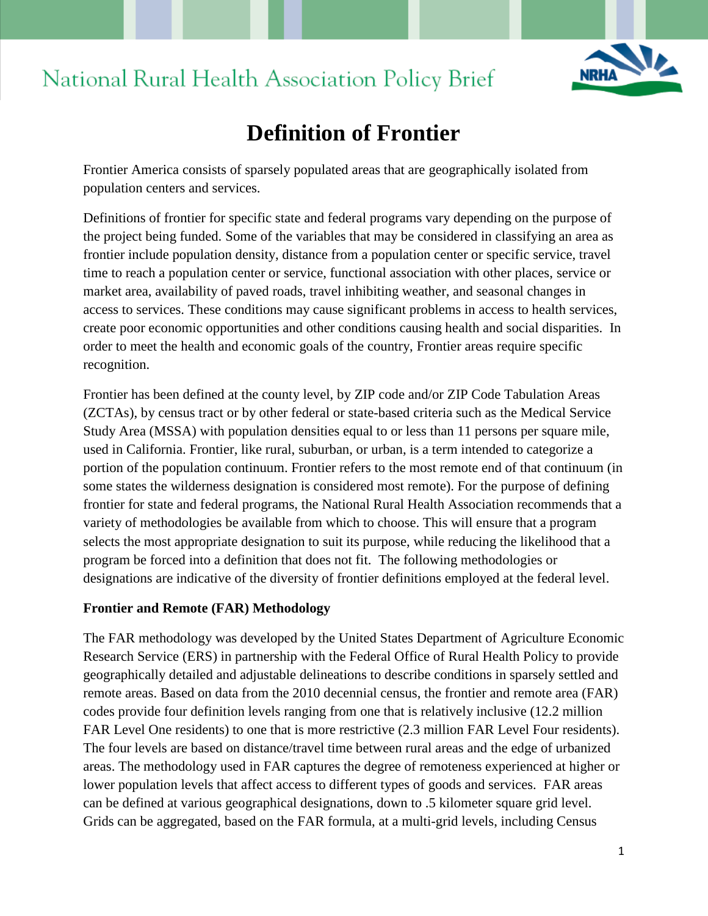# **NRHA**

## National Rural Health Association Policy Brief

### **Definition of Frontier**

Frontier America consists of sparsely populated areas that are geographically isolated from population centers and services.

Definitions of frontier for specific state and federal programs vary depending on the purpose of the project being funded. Some of the variables that may be considered in classifying an area as frontier include population density, distance from a population center or specific service, travel time to reach a population center or service, functional association with other places, service or market area, availability of paved roads, travel inhibiting weather, and seasonal changes in access to services. These conditions may cause significant problems in access to health services, create poor economic opportunities and other conditions causing health and social disparities. In order to meet the health and economic goals of the country, Frontier areas require specific recognition.

Frontier has been defined at the county level, by ZIP code and/or ZIP Code Tabulation Areas (ZCTAs), by census tract or by other federal or state-based criteria such as the Medical Service Study Area (MSSA) with population densities equal to or less than 11 persons per square mile, used in California. Frontier, like rural, suburban, or urban, is a term intended to categorize a portion of the population continuum. Frontier refers to the most remote end of that continuum (in some states the wilderness designation is considered most remote). For the purpose of defining frontier for state and federal programs, the National Rural Health Association recommends that a variety of methodologies be available from which to choose. This will ensure that a program selects the most appropriate designation to suit its purpose, while reducing the likelihood that a program be forced into a definition that does not fit. The following methodologies or designations are indicative of the diversity of frontier definitions employed at the federal level.

#### **Frontier and Remote (FAR) Methodology**

The FAR methodology was developed by the United States Department of Agriculture Economic Research Service (ERS) in partnership with the Federal Office of Rural Health Policy to provide geographically detailed and adjustable delineations to describe conditions in sparsely settled and remote areas. Based on data from the 2010 decennial census, the frontier and remote area (FAR) codes provide four definition levels ranging from one that is relatively inclusive (12.2 million FAR Level One residents) to one that is more restrictive  $(2.3 \text{ million FAR Level Four residents}).$ The four levels are based on distance/travel time between rural areas and the edge of urbanized areas. The methodology used in FAR captures the degree of remoteness experienced at higher or lower population levels that affect access to different types of goods and services. FAR areas can be defined at various geographical designations, down to .5 kilometer square grid level. Grids can be aggregated, based on the FAR formula, at a multi-grid levels, including Census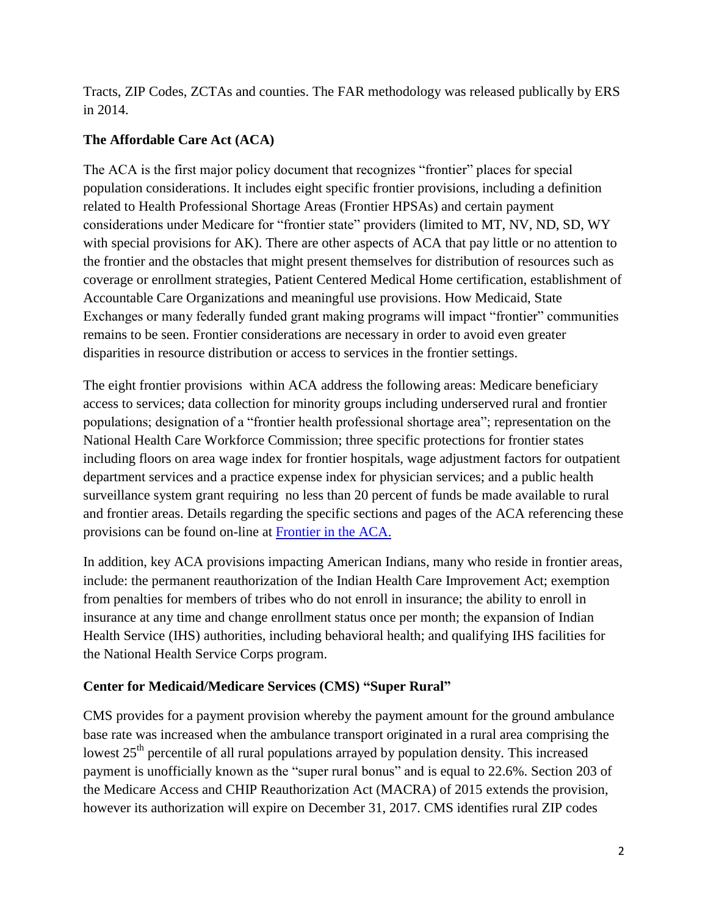Tracts, ZIP Codes, ZCTAs and counties. The FAR methodology was released publically by ERS in 2014.

#### **The Affordable Care Act (ACA)**

The ACA is the first major policy document that recognizes "frontier" places for special population considerations. It includes eight specific frontier provisions, including a definition related to Health Professional Shortage Areas (Frontier HPSAs) and certain payment considerations under Medicare for "frontier state" providers (limited to MT, NV, ND, SD, WY with special provisions for AK). There are other aspects of ACA that pay little or no attention to the frontier and the obstacles that might present themselves for distribution of resources such as coverage or enrollment strategies, Patient Centered Medical Home certification, establishment of Accountable Care Organizations and meaningful use provisions. How Medicaid, State Exchanges or many federally funded grant making programs will impact "frontier" communities remains to be seen. Frontier considerations are necessary in order to avoid even greater disparities in resource distribution or access to services in the frontier settings.

The eight frontier provisions within ACA address the following areas: Medicare beneficiary access to services; data collection for minority groups including underserved rural and frontier populations; designation of a "frontier health professional shortage area"; representation on the National Health Care Workforce Commission; three specific protections for frontier states including floors on area wage index for frontier hospitals, wage adjustment factors for outpatient department services and a practice expense index for physician services; and a public health surveillance system grant requiring no less than 20 percent of funds be made available to rural and frontier areas. Details regarding the specific sections and pages of the ACA referencing these provisions can be found on-line at [Frontier in the ACA.](http://frontierus.org/frontier-in-the-aca/)

In addition, key ACA provisions impacting American Indians, many who reside in frontier areas, include: the permanent reauthorization of the Indian Health Care Improvement Act; exemption from penalties for members of tribes who do not enroll in insurance; the ability to enroll in insurance at any time and change enrollment status once per month; the expansion of Indian Health Service (IHS) authorities, including behavioral health; and qualifying IHS facilities for the National Health Service Corps program.

#### **Center for Medicaid/Medicare Services (CMS) "Super Rural"**

CMS provides for a payment provision whereby the payment amount for the ground ambulance base rate was increased when the ambulance transport originated in a rural area comprising the lowest  $25<sup>th</sup>$  percentile of all rural populations arrayed by population density. This increased payment is unofficially known as the "super rural bonus" and is equal to 22.6%. Section 203 of the Medicare Access and CHIP Reauthorization Act (MACRA) of 2015 extends the provision, however its authorization will expire on December 31, 2017. CMS identifies rural ZIP codes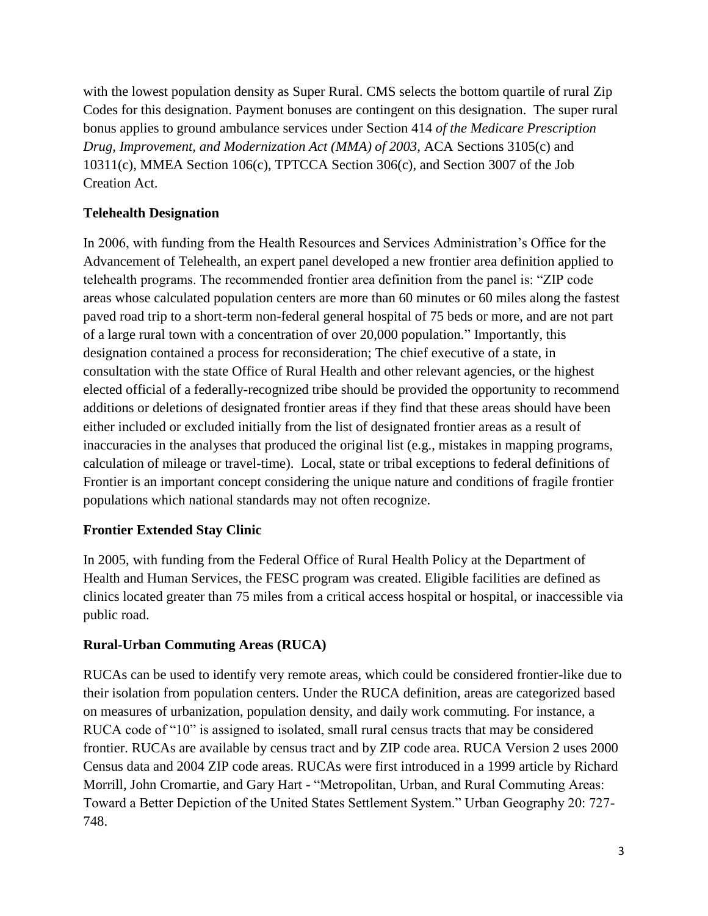with the lowest population density as Super Rural. CMS selects the bottom quartile of rural Zip Codes for this designation. Payment bonuses are contingent on this designation. The super rural bonus applies to ground ambulance services under Section 414 *of the Medicare Prescription Drug, Improvement, and Modernization Act (MMA) of 2003,* ACA Sections 3105(c) and 10311(c), MMEA Section 106(c), TPTCCA Section 306(c), and Section 3007 of the Job Creation Act.

#### **Telehealth Designation**

In 2006, with funding from the Health Resources and Services Administration's Office for the Advancement of Telehealth, an expert panel developed a new frontier area definition applied to telehealth programs. The recommended frontier area definition from the panel is: "ZIP code areas whose calculated population centers are more than 60 minutes or 60 miles along the fastest paved road trip to a short-term non-federal general hospital of 75 beds or more, and are not part of a large rural town with a concentration of over 20,000 population." Importantly, this designation contained a process for reconsideration; The chief executive of a state, in consultation with the state Office of Rural Health and other relevant agencies, or the highest elected official of a federally-recognized tribe should be provided the opportunity to recommend additions or deletions of designated frontier areas if they find that these areas should have been either included or excluded initially from the list of designated frontier areas as a result of inaccuracies in the analyses that produced the original list (e.g., mistakes in mapping programs, calculation of mileage or travel-time). Local, state or tribal exceptions to federal definitions of Frontier is an important concept considering the unique nature and conditions of fragile frontier populations which national standards may not often recognize.

#### **Frontier Extended Stay Clinic**

In 2005, with funding from the Federal Office of Rural Health Policy at the Department of Health and Human Services, the FESC program was created. Eligible facilities are defined as clinics located greater than 75 miles from a critical access hospital or hospital, or inaccessible via public road.

#### **Rural-Urban Commuting Areas (RUCA)**

RUCAs can be used to identify very remote areas, which could be considered frontier-like due to their isolation from population centers. Under the RUCA definition, areas are categorized based on measures of urbanization, population density, and daily work commuting. For instance, a RUCA code of "10" is assigned to isolated, small rural census tracts that may be considered frontier. RUCAs are available by census tract and by ZIP code area. RUCA Version 2 uses 2000 Census data and 2004 ZIP code areas. RUCAs were first introduced in a 1999 article by Richard Morrill, John Cromartie, and Gary Hart - "Metropolitan, Urban, and Rural Commuting Areas: Toward a Better Depiction of the United States Settlement System." Urban Geography 20: 727- 748.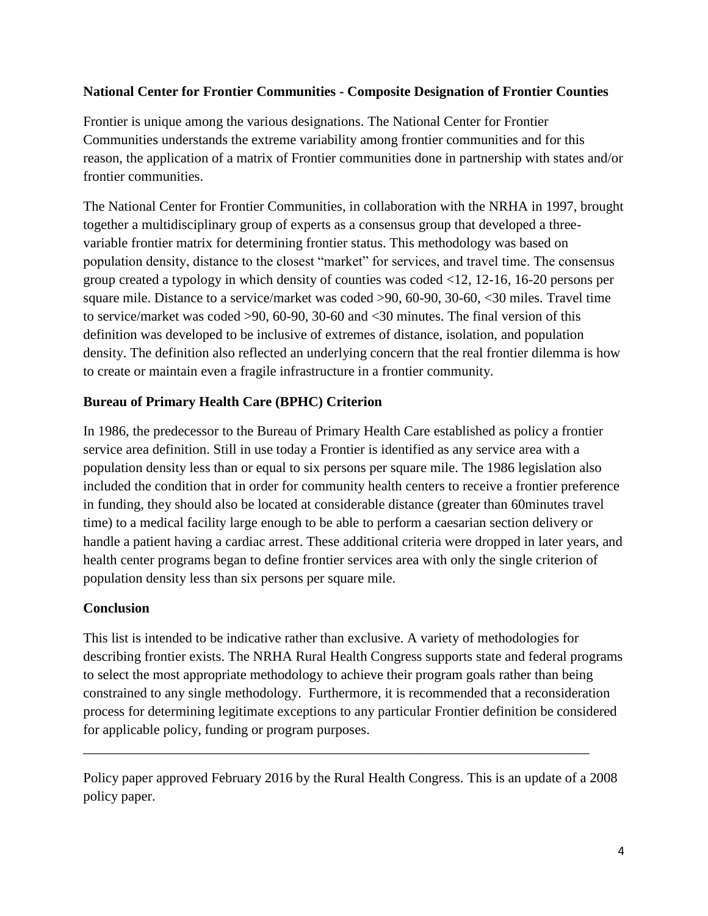#### **National Center for Frontier Communities - Composite Designation of Frontier Counties**

Frontier is unique among the various designations. The National Center for Frontier Communities understands the extreme variability among frontier communities and for this reason, the application of a matrix of Frontier communities done in partnership with states and/or frontier communities.

The National Center for Frontier Communities, in collaboration with the NRHA in 1997, brought together a multidisciplinary group of experts as a consensus group that developed a threevariable frontier matrix for determining frontier status. This methodology was based on population density, distance to the closest "market" for services, and travel time. The consensus group created a typology in which density of counties was coded <12, 12-16, 16-20 persons per square mile. Distance to a service/market was coded >90, 60-90, 30-60, <30 miles. Travel time to service/market was coded >90, 60-90, 30-60 and <30 minutes. The final version of this definition was developed to be inclusive of extremes of distance, isolation, and population density. The definition also reflected an underlying concern that the real frontier dilemma is how to create or maintain even a fragile infrastructure in a frontier community.

#### **Bureau of Primary Health Care (BPHC) Criterion**

In 1986, the predecessor to the Bureau of Primary Health Care established as policy a frontier service area definition. Still in use today a Frontier is identified as any service area with a population density less than or equal to six persons per square mile. The 1986 legislation also included the condition that in order for community health centers to receive a frontier preference in funding, they should also be located at considerable distance (greater than 60minutes travel time) to a medical facility large enough to be able to perform a caesarian section delivery or handle a patient having a cardiac arrest. These additional criteria were dropped in later years, and health center programs began to define frontier services area with only the single criterion of population density less than six persons per square mile.

#### **Conclusion**

This list is intended to be indicative rather than exclusive. A variety of methodologies for describing frontier exists. The NRHA Rural Health Congress supports state and federal programs to select the most appropriate methodology to achieve their program goals rather than being constrained to any single methodology. Furthermore, it is recommended that a reconsideration process for determining legitimate exceptions to any particular Frontier definition be considered for applicable policy, funding or program purposes.

Policy paper approved February 2016 by the Rural Health Congress. This is an update of a 2008 policy paper.

\_\_\_\_\_\_\_\_\_\_\_\_\_\_\_\_\_\_\_\_\_\_\_\_\_\_\_\_\_\_\_\_\_\_\_\_\_\_\_\_\_\_\_\_\_\_\_\_\_\_\_\_\_\_\_\_\_\_\_\_\_\_\_\_\_\_\_\_\_\_\_\_\_